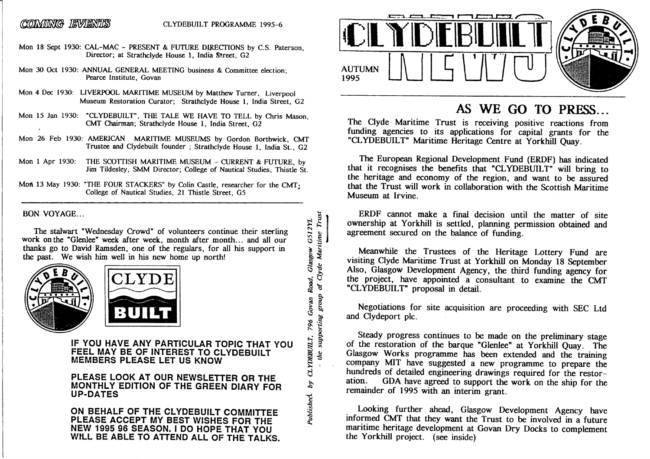### *CONVING ENVENHES* CLYDEBUILT PROGRAMME 1995-6

- Mon 18 Sept 1930: CAL-MAC PRESENT & FUTURE DIRECTIONS by C.S. Paterson, Director; at Strathclyde House 1, India Street, G2
- Mon 30 Oct 1930: ANNUAL GENERAL MEETING business & Committee election; Pearce Institute, Govan
- Mon 4 Dec 1930: LIVERPOOL MARITIME MUSEUM by Matthew Turner, Liverpool Museum Restoration Curator; Strathclyde House 1, India Street, G2
- MON 15 Jan 1950. CLIDEBUILT, THE TALE WE HAVE TO TELL BY CHITS MASON,<br>CMT Chairman: Strathclyde House 1 India Street G2 , THE TALE WE HAVE TO TELCMT Chairman; Strathclyde House 1, India Street, 02
- Mon 26 Feb 1930: AMERICAN MARITIME MUSEUMS by Gordon Borthwick, CMT Trustee and Clydebuilt founder ; Strathclyde House 1, India St.. G2
- Mon 1 Apr 1930: THE SCOTTISH MARITIME MUSEUM CURRENT & FUTURE, by Jim Tildesley. SMM Director; College of Nautical Studies. Thistle St.
- Mon 13 May 1930: "THE FOUR STACKERS" by Colin Castle, researcher for the CMT $\cdot$ College of Nautical Studies. 21 Thistle Street. G5

BON VOYAGE...

The stalwart "Wednesday Crowd" of volunteers continue their sterling work on the "Glenlee" week after week, month after month... and all our work on the "Glenlee" week after week, month after month... and all our thanks go to David Ramsden, one of liie regulars, for all his support in the past. We wish him well in his new home up north!





**IF YOU HAVE ANY PARTICULAR TOPIC THAT YOU FEEL MAY BE OF INTEREST TO CLYDEBUILT MEMBERS PLEASE LET US KNOW** 

**PLEASE LOOK AT OUR NEWSLETTER OR THE MONTHLY EDITION OF THE GREEN DIARY FOR UP-DATES** 

**ON BEHALF OF THE CLYDEBUILT COMMITTEE PLEASE ACCEPT MY BEST WISHES FOR THE NEW 1995 96 SEASON. I DO HOPE THAT YOU WtLL BE ABLE TO ATTEND ALL OF THE TALKS.** 



## AS WE GO TO PRESS...

**EXECUTE AS WE GO TO PRESS...**<br>The Clyde Maritime Trust is receiving positive reactions from fimding agencies to its applications for capital grants for the "CLYDEBUILT" Maritime Heritage Centre at Yorkhill Quay.

The European Regional Development Fund (ERDF) has indicated that it recognises the benefits that "CLYDEBUILT" will bring to the heritage and economy of the region, and want to be assured that the Trust wiU work in collaboration with the Scottish Maritime Museum at Irvine.

ERDF cannot make a final decision until the matter of site ownership at Yorkhill is settled, planning permission obtained and agreement secured on the balance of funding.

Meanwhile the Trustees of the Heritage Lottery Fund are visiting Clyde Maritime Trust at Yorkhill on Monday 18 September Also, Glasgow Development Agency, the third funding agency for the project, have appointed a consultant to examine the CMT "CLYDEBUILT" proposal in detail.

Negotiations for site acquisition are proceeding with SEC Ltd and Clydeport pic.

Steady progress continues to be made on the preliminary stage of the restoration of the barque "Glenlee" at Yorkhill Quay. The Glasgow Works programme has been extended and the training company MIT have suggested a new programme to prepare the hundreds of detailed engineering drawings required for the restor ation. GDA have agreed to support the work on the ship for the remainder of 1995 with an interim grant.

Looking further ahead, Glasgow Development Agency have informed CMT that they want the Trust to be involved in a future maritime heritage development at Govan Dry Docks to complement the Yorkhill project, (see inside)

**8** I  $U$ Vac **8 s d** Published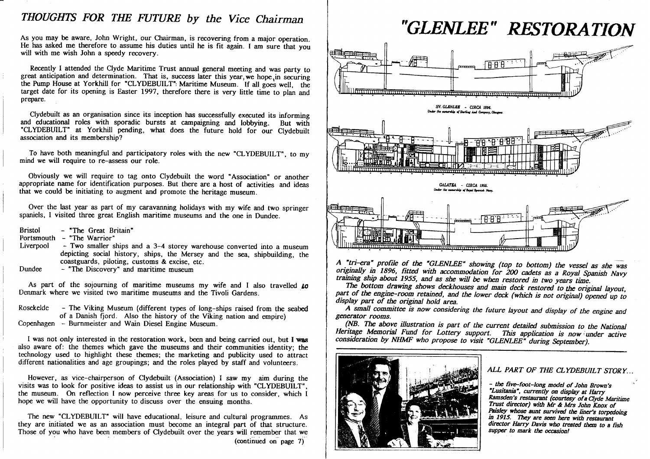# *THOUGHTS FOR THE FUTURE by the Vice Chairman*

As you may be aware, John Wright, our Chairman, is recovering from a major operation. He has asked me therefore to assume his duties until he is fit again. I am sure that you will with me wish John a speedy recovery.

 $R_{\text{rel}}$  attended the Clyde Maritime Trust annual general meeting and was party to  $R_{\text{rel}}$ great anticipation and determination. That is, success later this year, we hope, in securing the Pump House at Yorkhill for  $\text{CLIPBOLL1}$  in Maritime Museum. If all goes well, the  $\text{Area}$  detection of  $\text{Rate}$  and  $\text{Area}$  is expected. target date for its opening is Easter 1997, therefore there is very little time to plan and prepare.

Clydebuilt as an organisation since its inception has successfully executed its informing and educational roles with sporadic bursts at campaigning and lobbying. But with CLYDEBUILT at YORKhill pending, what does the future hold for our Clydebuilt association and its membership?

To have both meaningful and participatory roles with the new  $CLTDEBULL$ , to my mind we will require to re-assess our role.

Obviously we will require to tag onto Clydebuilt the word "Association" or another appropriate name for identification purposes. But there are a host of activities and ideas that we could be initiating to augment and promote the heritage museum.

Over the last year as part of my caravanning holidays with my wife and two springer spaniels, 1 visited three great English maritime museums and the one in Dundee.

 $\mathbf{B}$   $\mathbf{B}$   $\mathbf{B}$   $\mathbf{B}$   $\mathbf{C}$   $\mathbf{D}$   $\mathbf{C}$   $\mathbf{D}$   $\mathbf{D}$   $\mathbf{D}$   $\mathbf{D}$   $\mathbf{D}$   $\mathbf{D}$   $\mathbf{D}$   $\mathbf{D}$   $\mathbf{D}$   $\mathbf{D}$   $\mathbf{D}$   $\mathbf{D}$   $\mathbf{D}$   $\mathbf{D}$   $\mathbf{D}$   $\mathbf{D}$   $\mathbf{D}$   $\mathbf{$ 

 $\sum_{i=1}^{\infty}$   $\sum_{i=1}^{\infty}$   $\sum_{i=1}^{\infty}$   $\sum_{i=1}^{\infty}$   $\sum_{i=1}^{\infty}$ 

- Liverpool Two smaller ships and a 3-4 storey warehouse converted into a museum depicting social history, ships, the Mersey and the sea, shipbuilding, the coastguards, piloting, customs & excise, etc.
- $D$ undet  $\sim$  The Discovery and maritime museum

As part of the sojourning of maritime museums my wife and 1 also travelled *to* Denmark where we visited two maritime museums and the Tivoli Gardens.

Rosekelde - The Viking Museum (different types of long-ships raised from the seabed of a Danish fjord. Also the history of the Viking nation and empire) Copenhagen - Bummeister and Wain Diesel Engine Museum.

I was not only interested in the restoration work, been and being carried out, but **I vras** also aware of: the themes which gave the museums and their communities identity; the technology used to highlight these themes; the marketing and publicity used to attract different nationalities and age groupings; and the roles played by staff and volunteers.

However, as vice-chairperson of Clydebuilt (Association) I saw my aim during the visits was to look for positive ideas to assist us in our relationship with "CLYDEBUILT". visits was to look for positive ideas to assist us in our relationship with "CLYDEBUILT" , the museum. On reflection 1 now perceive three key areas for us to consider, which 1 hope we will have the opportunity to discuss over the ensuing months.

The new "CLYDEBUILT" will have educational, leisure and cultural programmes. As they are initiated we as an association must become an integral part of that structure. they are initiated we as an association must become an integral part of that structure. Those of you who have been members of Clydebuilt over the years will remember that we (continued on page 7)



*A "tri-era" profile of the "GLENLEE' showing (top to bottom) the vessel as she was originally in 1896, fitted with accommodation for 200 cadets as a Royal Spanish Navy training ship about 1955, and as she will be when restored in two years time.* 

 *The bottom drawing shows deckhouses and main deck restored to the original layout,* part of the engine-room retained, and the lower deck (which is not original) opened up to *display part of the original hold area.* 

 *A small committee is now considering the future layout and display of the engine and generator rooms.* 

 *(NB. Tlx above illustration is part of the current detailed submission to the National* Heritage Memorial Fund for Lottery support. This application is now under active *consideration by NHMF who propose to visit 'GLENLEE" during September).* 



### *ALL PART OF THE CLYDEBUILT STORY...*

*- the five-foot-long model of John Brown's 'Lusitama", currently on display at Harry Ramsden's restaurant (courtesy of a Clyde Maritime Trust director) with Mr & Mrs John Knox of Paisley whose aunt survived the liner's torpedoing in 1915. They are seen here with restaurant director Harry Davis who treated them to a fish supper to mark the occasion!*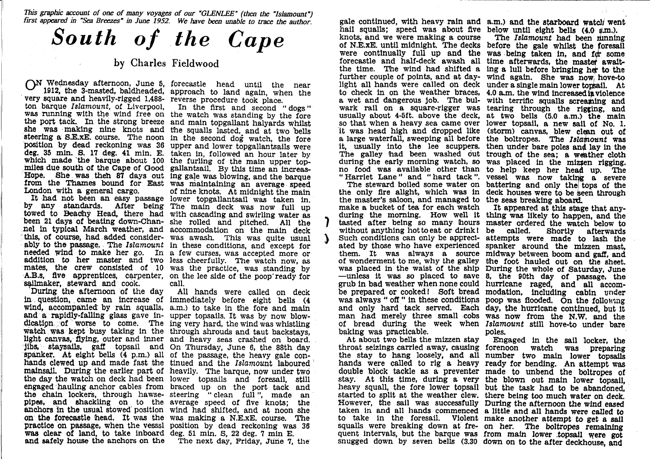*This grapiiic account of one of many voyage* s *of our "GLENLEE" (then the "Islamount") first appeared in 'Sea Breezes" in June 1951 We have been unable to trace the author.* 

# *South of the Cape*

## **by Charles Fieldwood**

 $\bigcup$  wednesday afternoon, June 5, forecastle head until the 1012 the 3 meeted heldbeeded expression 1912, the 3-masted, baldheaded, approach to land again, when the very square and heavily-rigged 1,488-<br>terms hardly and heavily-rigged 1,488-<br>terms hardly and heavily-rigged 1,488т ратане темперите от пілетовог

It had not been an easy passage lower topganamisant was take ably to the passage. The Islamount sailmaker, steward and cook.

During the afternoon of the wind, accompanied by rain squalls, a.m.) to take in the fore and main wind, accompanied by rain squalls, a.i.i., to take in the fore and main d a rapidly-falling glass gave in- upper topsails. It was by now blow-<br>dication of worse to come. The ing very hard, the wind was whistling watch was kept busy taking in the through sinouts and taut backstays, ight canvas, flying, outer and inner and heavy seas crashed on board. light canvas, flying, outer an jibs, staysails, gaff topsail and On Thursday, June 6, the 88th day spanker. At eight bells (4 p.m.) all of the passage, the heavy gale con-<br>hands clewed up and made fast the tinued and the *Islamount* laboured mainsail. During the earlier part of heavily. The barque, now under two the day the watch on deck had been lower topsails and foresail, still the chain lockers, through hawse-steering " clean full", made an pipes, and shackling on to the average speed of five knots; the anchors In the usual stowed position wind had shifted, and at noon she practice on passage, when the vesssl position by dead reckoning was 36 was clear of land to take inboard deg. 51 min. S, 22 deg. 7 min. F. was clear of land, to take inboard deg. 51 min. S, 22 deg. 7 min E. and safely house the anchors on the The next day, Friday, June 7, tlie

for barque *Islamount*, of Liverpool, In the first and second "dogs" was running with the wind free on the watch was standing by the fore was fulling with the which he on the watch was standing by the fore the port tack. In the strong breeze and main topgallant halyards whilst she was making nine strong breeze and main topgallant halyards whilst<br>hall was making nine knots and the squalls lasted, and at two bells steering a SJE-xE. course. The noon  $\sum_{m=1}^{\infty}$  and  $\sum_{m=1}^{\infty}$  and  $\sum_{m=1}^{\infty}$  and  $\sum_{m=1}^{\infty}$  and  $\sum_{m=1}^{\infty}$  and  $\sum_{m=1}^{\infty}$  and  $\sum_{m=1}^{\infty}$  and  $\sum_{m=1}^{\infty}$  and  $\sum_{m=1}^{\infty}$  and  $\sum_{m=1}^{\infty}$ position by dead reckoning was 36 upper and lower topgallantsails were bosition by dead reckoning was so upper and lower topgallantsails were<br>deg. 35 min. S. 17 deg. 41 min. E. taken in, followed an hour later by deg, so min. S. 17 deg, 41 min. E. taken in, followed an hour later by which made the barque about 100 the furling of the main upper topwhich made the barque about 100 the furning of the main upper top-<br>miles due south of the Cape of Good gallantsail. By this time an increassite was then of days out ing gale was blowing, and the barque from the Thames bound for East was maintaining an average speed<br>from the Thames bound for East was maintaining an average speed London with a general cargo.<br>
It had not been an easy passage lower topgallantsail was taken in. by any standards. After being The main deck was now full up<br>towed to Beachy Head, there had with cascading and swirling water as lowed to beachy field, there had with cascading and swifting water as been 21 days of beating down-Chan- she rolled and pitched. All the been 21 days of beating down-Chan- she rolled and pitched. All the<br>nel in typical March weather, and accommodation on the main deck h we had added consider- was awash. This was quite usual this, of course, had added consider- was awash. This was quite usual ably to the passage. The *Islamount* in these conditions, and except for y to th e passage. Th e *Islamount*  a few curses, was accepted more or addition to her master and two less cheerfully. The watch now, as mates, the crew consisted of 10 was the practice, was standing by mates, the crew consisted of to was the plactice, was standing by<br>A.B.s, five apprentices, carpenter, on the lee side of the poop" ready for<br>sailmaker, steward and cook. call. in the first and second **f** of nine knots. At midnight the main call.

question, came an increase of immediately before eight bells (4 ileation of worse to come. The ing very hard, the wind was whistling<br>watch was kept busy taking in the through shrouds and taut backstays, of the passage, the heavy gale con- d hauling anchor cables from braced up on the port tack and on the forecastle head. It was the was making a N.E.xE, course. The practice on passage, when the vessal position by dead reckoning was 36 All hands were called on deck

hail squalls; speed was about five below until eight bells  $(4.0 \t{~\mu m}.)$ . knots, and we were making a course of N.E.XE. until midnight. The decks before the gale whilst the foresail were continually full up and the was being taken in, and for some forecastle and half-deck awash all time afterwards, the master awaitthe time. The wind had shifted a ing a lull before bringing her to the further couple of points, and at day- wind again. She was now hove-to light all hands were called on deck under a single mahi lower topsail. At to check in on the weather braces, a wet and dangerous Job. The bulwark rail on a square-rigger was tearing through the rigging, and usually about 4-5ft. above the deck, so that when a heavy sea came over lower topsail, a new sail of No. 1. it was head high and dropped like a large waterfall, sweeping all before it, usually into the lee scuppers. The galley had been washed out trough of the sea; a weather cloth during the early morning watch, so no food was available other than "Harriet Lane" and "hard tack".

 the only fire alight, which was in the master's saloon, and managed to the seas breaking aboard. make a bucket of tea for each watch 10116 anvening not to eat or oring i ated by those who have experienced of wonderment to me, why to me, why the galley<br>he waist of the ship b in bad weather when none could was always " off " in these conditions poop was flooded. On the process of the conditions poop was flooded. baking was practicable.

At about two bells the mizzen stay

gale conthiued, with heavy rain and a.m.) and the starboard watcl/ went

The steward boiled some water on battering and only the tops of the The *Islamount* had been limnlng  $4.0$  a.m. the wind increased in violence  $\,$ with terrific squalls screaming and at two bells (5.0 a.m.) the main (storm) canvas, blew clean out of the boltropes. The *Islamount* was then under bare poles and lay in the was placed in the mizzen rigging. to help keep her head up. The vessel was now taking a severe deck houses were to be seen through

 durhig the morning. How well it thing was likely to happen, and the tasted after being so many hours master ordered the watch below to without anything hot to eat or drink! be called. Shortly afterwards<br>Such conditions can only be appreci- attempts were made to lash the them. It was always a source midway between boom and gaff, and them. It was always a source midway between boom and gaff, and was placed in the waist of the ship During the whole of Saturday, June<br>-unless it was so placed to save 8, the 90th day of passage, the grub in bad weather when hone could infinite raged, and an accom-<br>be prepared or cooked! Soft bread modation, including cabin under was always on in these conditions poop was hooded. On the following<br>and only hard tack served. Each day, the hurricane continued, but it man had merely three small cobs was now from the N.W. and the of bread during the week when *Islamount* still hove-to under bare It appeared at this stage that any- be called. spanker around the mizzen midway between boom and gail, and the root hauled out on the sheet. During the whole or Saturd hurricane raged, and all accomday, the hurricane continued, but it poles.

 throat seizings carried away, causing forenoon watch was preparhig the stay to hang loosely, and all number two main lower topsails hands were called to rig a heavy ready for bending. An attempt was double block tackle as a preventer made to unbend the boltropes of stay. At this time, during a very the blown out main lower topsail, heavy squall, the fore lower topsail but the task had to be abandoned, started to split at the weather clew. there being too much water on deck. However, the sail was successfully During the afternoon the wind eased aken in and all hands commenced a little and all hands were called to o take in the foresail. Violent make another attempt to get a sail squalls were breaking down at fre- on her. The boltropes remaining quent Intervals, but the barque was from main lower .topsail were got nugged down by seven bells (3.30 down on to the after deckhouse, and Engaged hi the sail locker, the